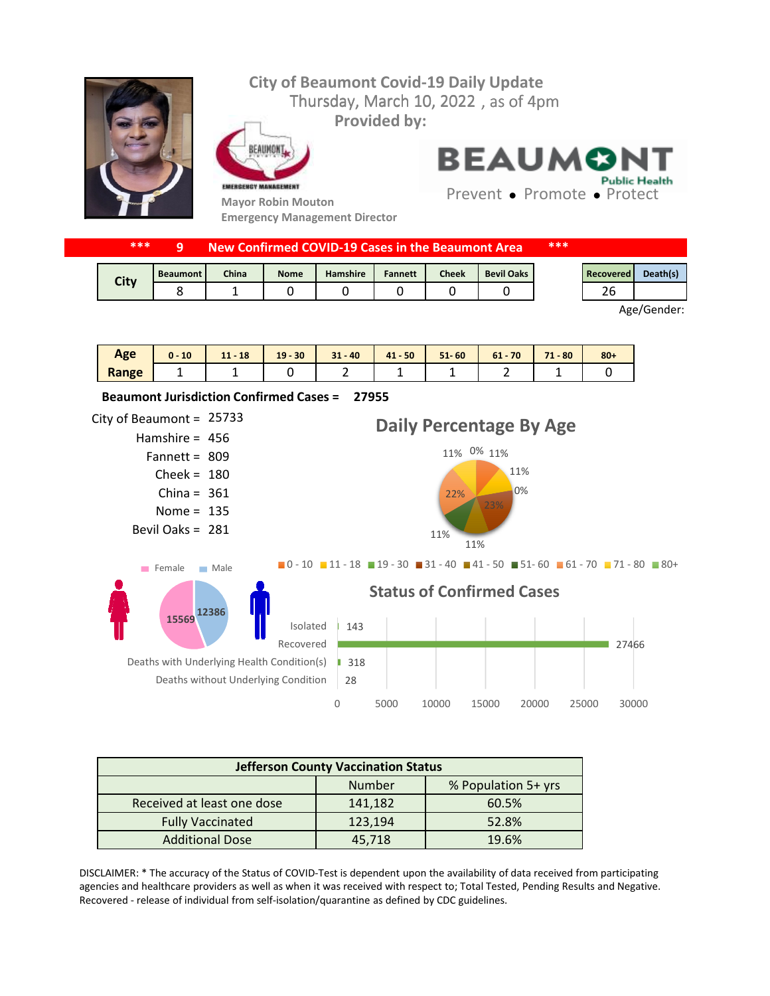

| ***<br>New Confirmed COVID-19 Cases in the Beaumont Area. |                 |              |             |                 |                | ***          |                   |  |           |          |
|-----------------------------------------------------------|-----------------|--------------|-------------|-----------------|----------------|--------------|-------------------|--|-----------|----------|
| City                                                      | <b>Beaumont</b> | <b>China</b> | <b>Nome</b> | <b>Hamshire</b> | <b>Fannett</b> | <b>Cheek</b> | <b>Bevil Oaks</b> |  | Recovered | Death(s) |
|                                                           |                 |              |             |                 |                |              |                   |  | 26        |          |

Age/Gender:

| Age   | 10<br>$0 -$ | 18<br>11<br>- 11 | $19 - 30$ | $31 - 40$ | $41 - 50$ | $51 - 60$ | $61 - 70$ | 71<br>$-80$ | $80 +$ |
|-------|-------------|------------------|-----------|-----------|-----------|-----------|-----------|-------------|--------|
| Range |             | -                |           | -         | -         |           |           | -           |        |



| <b>Jefferson County Vaccination Status</b> |         |                     |  |  |  |  |  |
|--------------------------------------------|---------|---------------------|--|--|--|--|--|
|                                            | Number  | % Population 5+ yrs |  |  |  |  |  |
| Received at least one dose                 | 141,182 | 60.5%               |  |  |  |  |  |
| <b>Fully Vaccinated</b>                    | 123,194 | 52.8%               |  |  |  |  |  |
| <b>Additional Dose</b>                     | 45.718  | 19.6%               |  |  |  |  |  |

DISCLAIMER: \* The accuracy of the Status of COVID-Test is dependent upon the availability of data received from participating agencies and healthcare providers as well as when it was received with respect to; Total Tested, Pending Results and Negative. Recovered - release of individual from self-isolation/quarantine as defined by CDC guidelines.